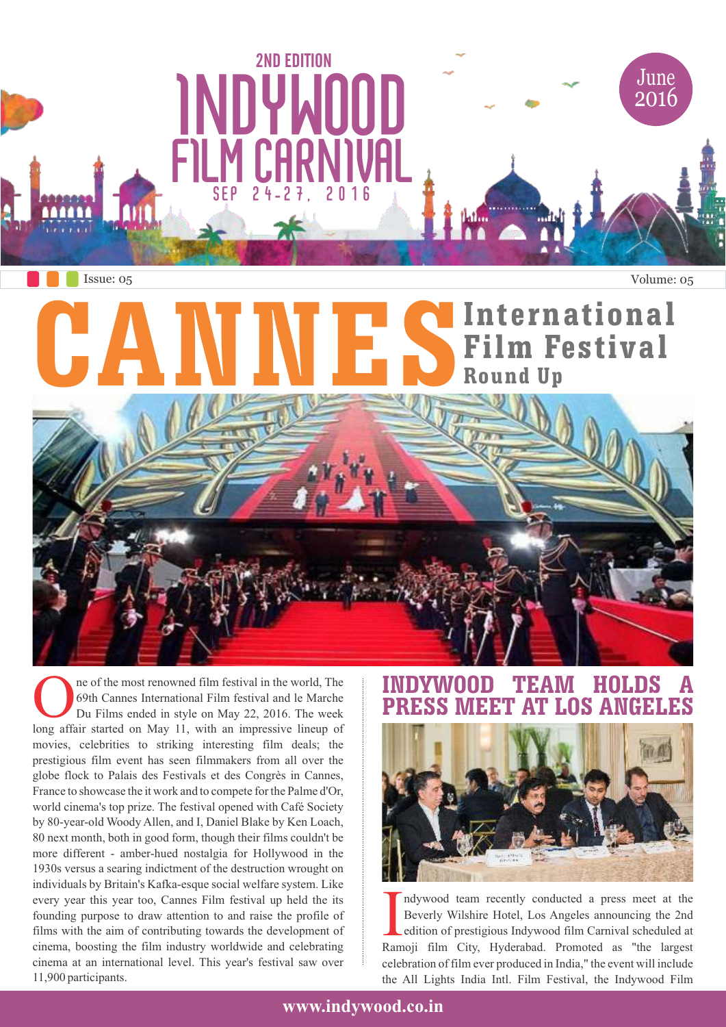

Issue: 05 Volume: 05

# **CANNES International Film Festival Round Up**



**O** long af the most renowned film festival in the world, The 69th Cannes International Film festival and le Marche Du Films ended in style on May 22, 2016. The week long affair started on May 11, with an impressive lineup ne of the most renowned film festival in the world, The 69th Cannes International Film festival and le Marche Du Films ended in style on May 22, 2016. The week movies, celebrities to striking interesting film deals; the prestigious film event has seen filmmakers from all over the globe flock to Palais des Festivals et des Congrès in Cannes, France to showcase the it work and to compete for the Palme d'Or, world cinema's top prize. The festival opened with Café Society by 80-year-old Woody Allen, and I, Daniel Blake by Ken Loach, 80 next month, both in good form, though their films couldn't be more different - amber-hued nostalgia for Hollywood in the 1930s versus a searing indictment of the destruction wrought on individuals by Britain's Kafka-esque social welfare system. Like every year this year too, Cannes Film festival up held the its founding purpose to draw attention to and raise the profile of films with the aim of contributing towards the development of cinema, boosting the film industry worldwide and celebrating cinema at an international level. This year's festival saw over 11,900 participants.

#### YWOOD TEAM HO **PRESS MEET AT LOS ANGELES**



Indywood team recently conducted a press meet at the Beverly Wilshire Hotel, Los Angeles announcing the 2nd edition of prestigious Indywood film Carnival scheduled at Ramoji film City, Hyderabad. Promoted as "the largest ndywood team recently conducted a press meet at the Beverly Wilshire Hotel, Los Angeles announcing the 2nd edition of prestigious Indywood film Carnival scheduled at celebration of film ever produced in India," the event will include the All Lights India Intl. Film Festival, the Indywood Film